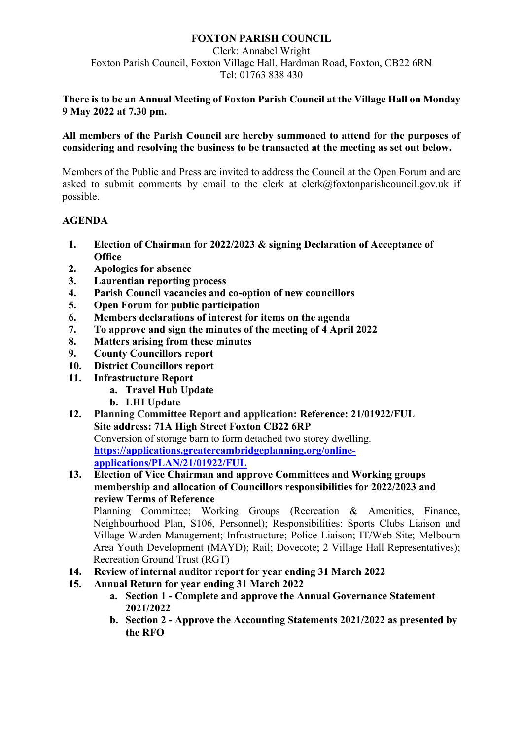# **FOXTON PARISH COUNCIL**

Clerk: Annabel Wright Foxton Parish Council, Foxton Village Hall, Hardman Road, Foxton, CB22 6RN Tel: 01763 838 430

### **There is to be an Annual Meeting of Foxton Parish Council at the Village Hall on Monday 9 May 2022 at 7.30 pm.**

**All members of the Parish Council are hereby summoned to attend for the purposes of considering and resolving the business to be transacted at the meeting as set out below.**

Members of the Public and Press are invited to address the Council at the Open Forum and are asked to submit comments by email to the clerk at clerk@foxtonparishcouncil.gov.uk if possible.

## **AGENDA**

- **1. Election of Chairman for 2022/2023 & signing Declaration of Acceptance of Office**
- **2. Apologies for absence**
- **3. Laurentian reporting process**
- **4. Parish Council vacancies and co-option of new councillors**
- **5. Open Forum for public participation**
- **6. Members declarations of interest for items on the agenda**
- **7. To approve and sign the minutes of the meeting of 4 April 2022**
- **8. Matters arising from these minutes**
- **9. County Councillors report**
- **10. District Councillors report**
- **11. Infrastructure Report**
	- **a. Travel Hub Update**
	- **b. LHI Update**
- **12. Planning Committee Report and application: Reference: 21/01922/FUL Site address: 71A High Street Foxton CB22 6RP** Conversion of storage barn to form detached two storey dwelling. **[https://applications.greatercambridgeplanning.org/online](https://applications.greatercambridgeplanning.org/online-applications/PLAN/21/01922/FUL)[applications/PLAN/21/01922/FUL](https://applications.greatercambridgeplanning.org/online-applications/PLAN/21/01922/FUL)**
- **13. Election of Vice Chairman and approve Committees and Working groups membership and allocation of Councillors responsibilities for 2022/2023 and review Terms of Reference**

Planning Committee; Working Groups (Recreation & Amenities, Finance, Neighbourhood Plan, S106, Personnel); Responsibilities: Sports Clubs Liaison and Village Warden Management; Infrastructure; Police Liaison; IT/Web Site; Melbourn Area Youth Development (MAYD); Rail; Dovecote; 2 Village Hall Representatives); Recreation Ground Trust (RGT)

- **14. Review of internal auditor report for year ending 31 March 2022**
- **15. Annual Return for year ending 31 March 2022**
	- **a. Section 1 - Complete and approve the Annual Governance Statement 2021/2022**
	- **b. Section 2 - Approve the Accounting Statements 2021/2022 as presented by the RFO**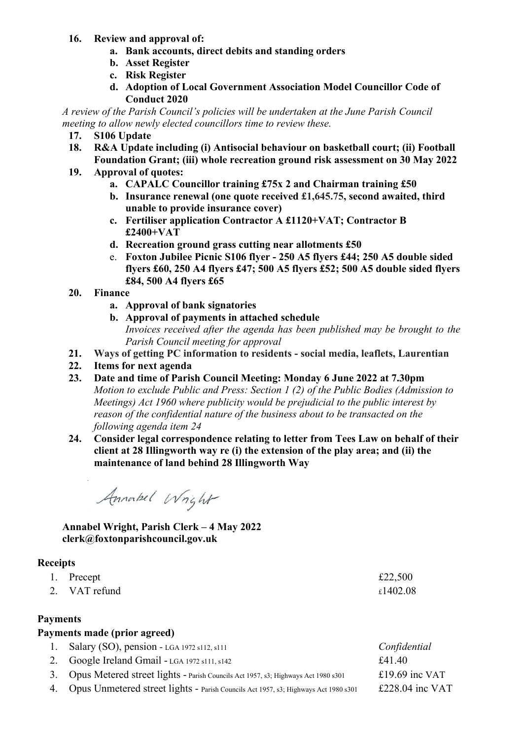### **16. Review and approval of:**

- **a. Bank accounts, direct debits and standing orders**
- **b. Asset Register**
- **c. Risk Register**
- **d. Adoption of Local Government Association Model Councillor Code of Conduct 2020**

*A review of the Parish Council's policies will be undertaken at the June Parish Council meeting to allow newly elected councillors time to review these.*

- **17. S106 Update**
- **18. R&A Update including (i) Antisocial behaviour on basketball court; (ii) Football Foundation Grant; (iii) whole recreation ground risk assessment on 30 May 2022**
- **19. Approval of quotes:**
	- **a. CAPALC Councillor training £75x 2 and Chairman training £50**
	- **b. Insurance renewal (one quote received £1,645.75, second awaited, third unable to provide insurance cover)**
	- **c. Fertiliser application Contractor A £1120+VAT; Contractor B £2400+VAT**
	- **d. Recreation ground grass cutting near allotments £50**
	- e. **Foxton Jubilee Picnic S106 flyer - 250 A5 flyers £44; 250 A5 double sided flyers £60, 250 A4 flyers £47; 500 A5 flyers £52; 500 A5 double sided flyers £84, 500 A4 flyers £65**
- **20. Finance**
	- **a. Approval of bank signatories**
	- **b. Approval of payments in attached schedule**  *Invoices received after the agenda has been published may be brought to the Parish Council meeting for approval*
- **21. Ways of getting PC information to residents - social media, leaflets, Laurentian**
- **22. Items for next agenda**
- **23. Date and time of Parish Council Meeting: Monday 6 June 2022 at 7.30pm** *Motion to exclude Public and Press: Section 1 (2) of the Public Bodies (Admission to Meetings) Act 1960 where publicity would be prejudicial to the public interest by reason of the confidential nature of the business about to be transacted on the following agenda item 24*
- **24. Consider legal correspondence relating to letter from Tees Law on behalf of their client at 28 Illingworth way re (i) the extension of the play area; and (ii) the maintenance of land behind 28 Illingworth Way**

Annabel Wright

**Annabel Wright, Parish Clerk – 4 May 2022 clerk@foxtonparishcouncil.gov.uk**

## **Receipts**

- 1. Precept  $\epsilon$  22,500
- 2. VAT refund  $\epsilon$ 1402.08

### **Payments**

# **Payments made (prior agreed)**

- 1. Salary (SO), pension LGA 1972 s112, s111 *Confidential*
- 2. Google Ireland Gmail  $LGA 1972 s111, s142$   $£41.40$
- 3. Opus Metered street lights Parish Councils Act 1957, s3; Highways Act 1980 s301 £19.69 inc VAT
- 4. Opus Unmetered street lights Parish Councils Act 1957, s3; Highways Act 1980 s301 £228.04 inc VAT
- 
- 
-